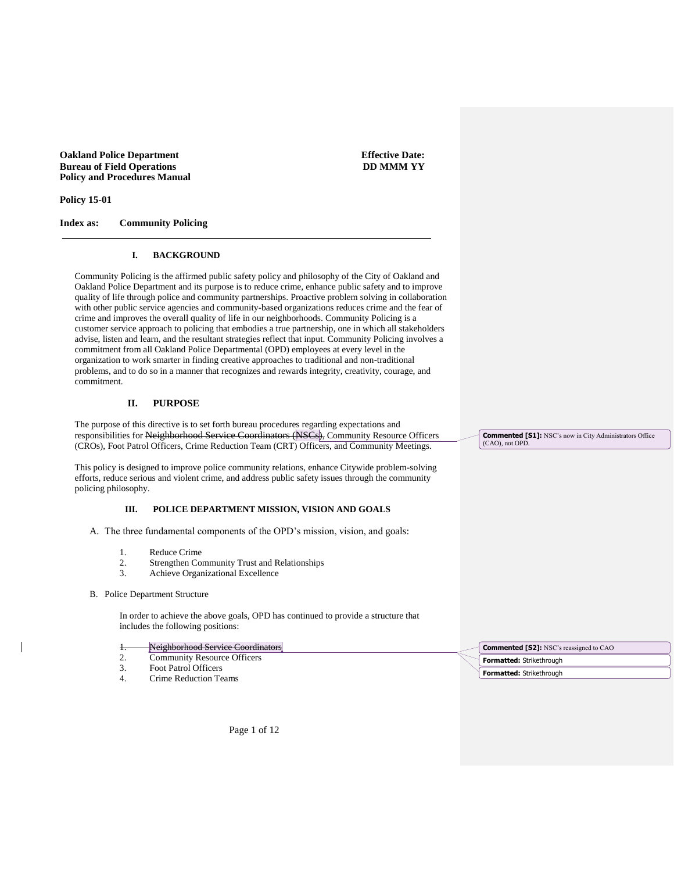**Oakland Police Department Bureau of Field Operations Policy and Procedures Manual**  **Effective Date: DD MMM YY**

**Policy 15-01**

**Index as: Community Policing**

### **I. BACKGROUND**

Community Policing is the affirmed public safety policy and philosophy of the City of Oakland and Oakland Police Department and its purpose is to reduce crime, enhance public safety and to improve quality of life through police and community partnerships. Proactive problem solving in collaboration with other public service agencies and community-based organizations reduces crime and the fear of crime and improves the overall quality of life in our neighborhoods. Community Policing is a customer service approach to policing that embodies a true partnership, one in which all stakeholders advise, listen and learn, and the resultant strategies reflect that input. Community Policing involves a commitment from all Oakland Police Departmental (OPD) employees at every level in the organization to work smarter in finding creative approaches to traditional and non-traditional problems, and to do so in a manner that recognizes and rewards integrity, creativity, courage, and commitment.

#### **II. PURPOSE**

The purpose of this directive is to set forth bureau procedures regarding expectations and responsibilities for Neighborhood Service Coordinators (NSCs), Community Resource Officers (CROs), Foot Patrol Officers, Crime Reduction Team (CRT) Officers, and Community Meetings.

This policy is designed to improve police community relations, enhance Citywide problem-solving efforts, reduce serious and violent crime, and address public safety issues through the community policing philosophy.

#### **III. POLICE DEPARTMENT MISSION, VISION AND GOALS**

A. The three fundamental components of the OPD's mission, vision, and goals:

- 1. Reduce Crime
- 2. Strengthen Community Trust and Relationships
- 3. Achieve Organizational Excellence
- B. Police Department Structure

In order to achieve the above goals, OPD has continued to provide a structure that includes the following positions:

- Neighborhood Service Coordinators
- 2. Community Resource Officers
- 3. Foot Patrol Officers
- 4. Crime Reduction Teams

**Commented [S1]:** NSC's now in City Administrators Office

(CAO), not OPD.



Page 1 of 12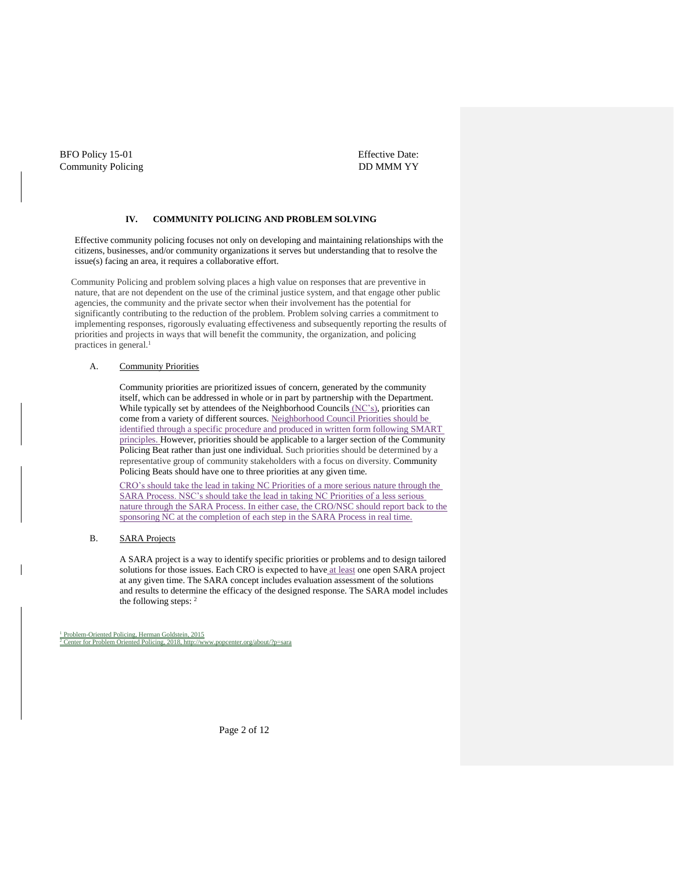Effective Date: DD MMM YY

### **IV. COMMUNITY POLICING AND PROBLEM SOLVING**

Effective community policing focuses not only on developing and maintaining relationships with the citizens, businesses, and/or community organizations it serves but understanding that to resolve the issue(s) facing an area, it requires a collaborative effort.

Community Policing and problem solving places a high value on responses that are preventive in nature, that are not dependent on the use of the criminal justice system, and that engage other public agencies, the community and the private sector when their involvement has the potential for significantly contributing to the reduction of the problem. Problem solving carries a commitment to implementing responses, rigorously evaluating effectiveness and subsequently reporting the results of priorities and projects in ways that will benefit the community, the organization, and policing practices in general.<sup>1</sup>

#### A. Community Priorities

Community priorities are prioritized issues of concern, generated by the community itself, which can be addressed in whole or in part by partnership with the Department. While typically set by attendees of the Neighborhood Councils (NC's), priorities can come from a variety of different sources. Neighborhood Council Priorities should be identified through a specific procedure and produced in written form following SMART principles. However, priorities should be applicable to a larger section of the Community Policing Beat rather than just one individual. Such priorities should be determined by a representative group of community stakeholders with a focus on diversity. Community Policing Beats should have one to three priorities at any given time.

CRO's should take the lead in taking NC Priorities of a more serious nature through the SARA Process. NSC's should take the lead in taking NC Priorities of a less serious nature through the SARA Process. In either case, the CRO/NSC should report back to the sponsoring NC at the completion of each step in the SARA Process in real time.

#### B. SARA Projects

A SARA project is a way to identify specific priorities or problems and to design tailored solutions for those issues. Each CRO is expected to have at least one open SARA project at any given time. The SARA concept includes evaluation assessment of the solutions and results to determine the efficacy of the designed response. The SARA model includes the following steps: <sup>2</sup>

<sup>1</sup> Problem-Oriented Policing, Herman Goldstein, 2015 er for Problem Oriented Policing, 2018[, http://www.popcenter.org/about/?p=sara](http://www.popcenter.org/about/?p=sara)

Page 2 of 12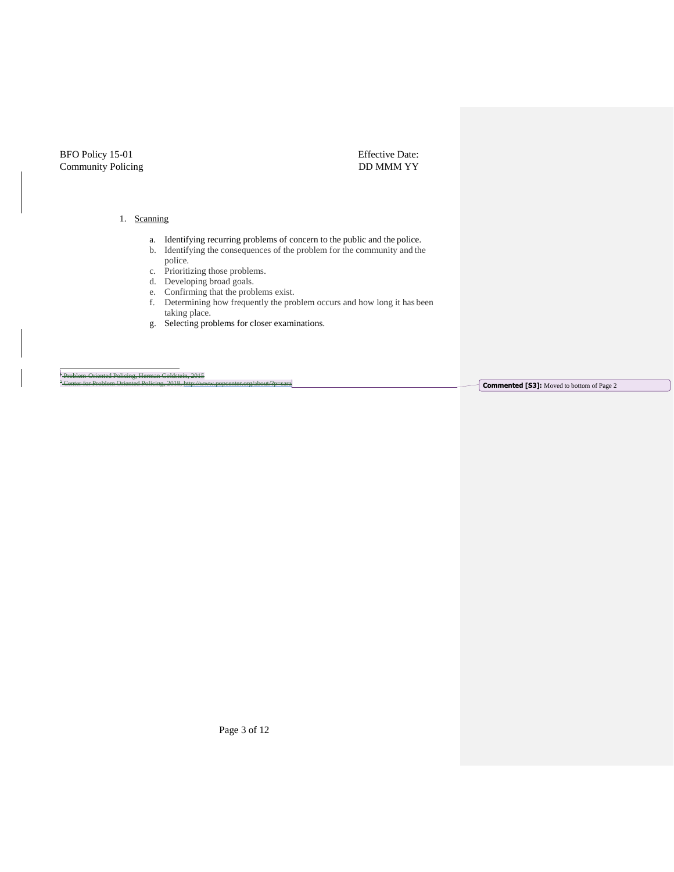Effective Date: DD MMM YY

### 1. Scanning

- a. Identifying recurring problems of concern to the public and the police.
- b. Identifying the consequences of the problem for the community and the police.
- c. Prioritizing those problems.
- d. Developing broad goals.
- e. Confirming that the problems exist.
- f. Determining how frequently the problem occurs and how long it has been taking place.
- g. Selecting problems for closer examinations.

<sup>+</sup> Problem-Oriented Policing, Herman Goldstein, 2015

 $\int$  **Commented [S3]:** Moved to bottom of Page 2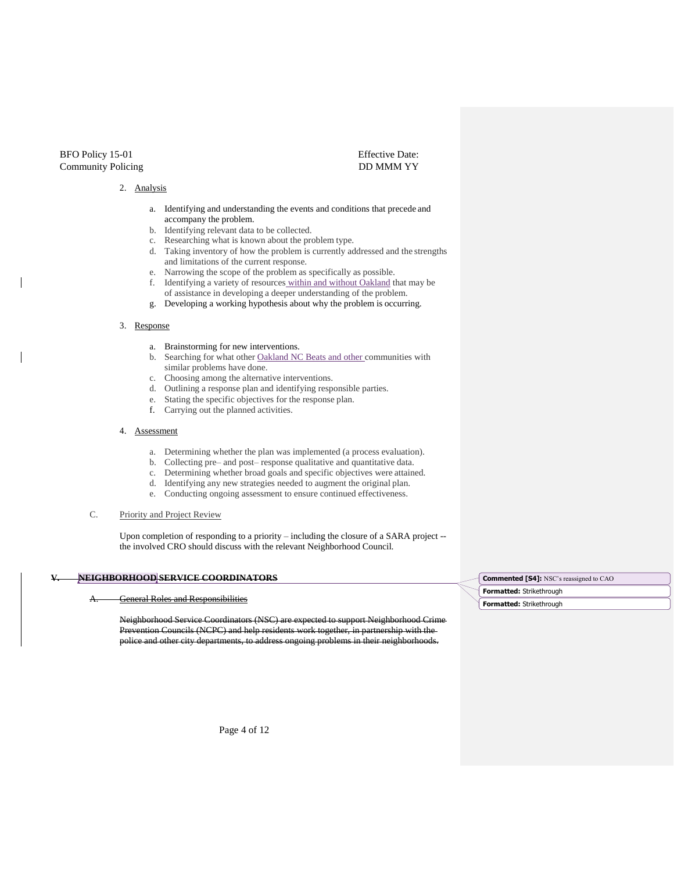#### 2. Analysis

a. Identifying and understanding the events and conditions that precede and accompany the problem.

Effective Date: DD MMM YY

- b. Identifying relevant data to be collected.
- c. Researching what is known about the problem type.
- d. Taking inventory of how the problem is currently addressed and the strengths and limitations of the current response.
- e. Narrowing the scope of the problem as specifically as possible.
- f. Identifying a variety of resources within and without Oakland that may be of assistance in developing a deeper understanding of the problem.
- g. Developing a working hypothesis about why the problem is occurring.

#### 3. Response

- a. Brainstorming for new interventions.
- b. Searching for what other Oakland NC Beats and other communities with similar problems have done.
- c. Choosing among the alternative interventions.
- d. Outlining a response plan and identifying responsible parties.
- e. Stating the specific objectives for the response plan.
- f. Carrying out the planned activities.

#### 4. Assessment

- a. Determining whether the plan was implemented (a process evaluation).
- b. Collecting pre– and post– response qualitative and quantitative data.
- c. Determining whether broad goals and specific objectives were attained.
- d. Identifying any new strategies needed to augment the original plan.
- e. Conducting ongoing assessment to ensure continued effectiveness.
- C. Priority and Project Review

Upon completion of responding to a priority – including the closure of a SARA project - the involved CRO should discuss with the relevant Neighborhood Council.

### **V. NEIGHBORHOOD SERVICE COORDINATORS**

**General Roles and Responsibilities** 

Neighborhood Service Coordinators (NSC) are expected to support Neighborhood Crime Prevention Councils (NCPC) and help residents work together, in partnership with the police and other city departments, to address ongoing problems in their neighborhoods.

**Formatted:** Strikethrough **Commented [S4]:** NSC's reassigned to CAO

**Formatted:** Strikethrough

Page 4 of 12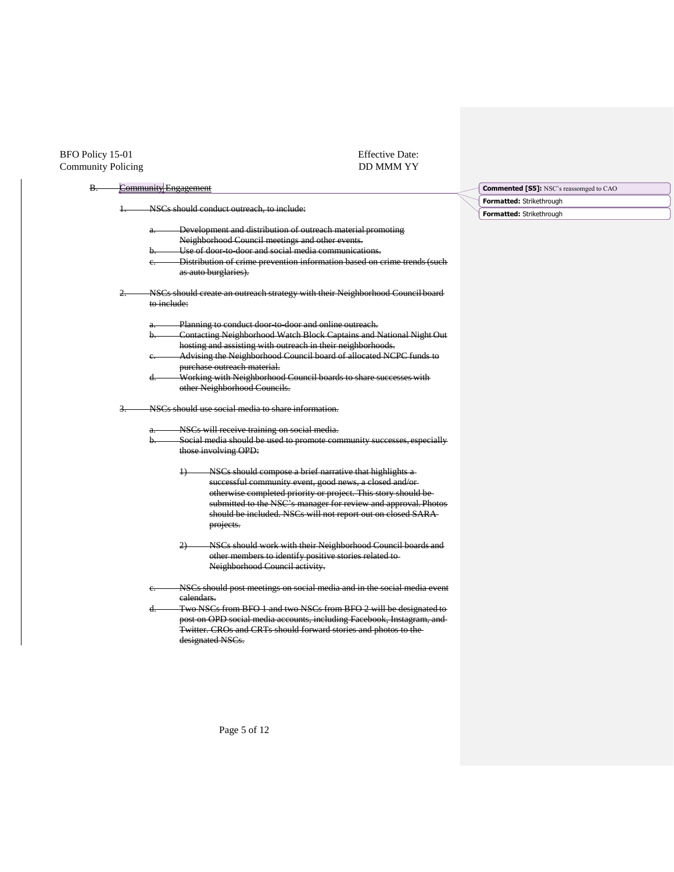## Effective Date: DD MMM YY

|    | <b>Community Engagement</b>                                                          |               |  |  |
|----|--------------------------------------------------------------------------------------|---------------|--|--|
|    |                                                                                      | <b>Format</b> |  |  |
| Ŧ. | NSCs should conduct outreach, to include:                                            | Format        |  |  |
|    | Development and distribution of outreach material promoting<br>a. -                  |               |  |  |
|    | Neighborhood Council meetings and other events.                                      |               |  |  |
|    | Use of door to door and social media communications.<br>b.                           |               |  |  |
|    | Distribution of crime prevention information based on crime trends (such<br>e.       |               |  |  |
|    | as auto burglaries).                                                                 |               |  |  |
| 2. | NSCs should create an outreach strategy with their Neighborhood Council board        |               |  |  |
|    | to include:                                                                          |               |  |  |
|    | Planning to conduct door to door and online outreach.<br>a. -                        |               |  |  |
|    | Contacting Neighborhood Watch Block Captains and National Night Out<br>b.            |               |  |  |
|    | hosting and assisting with outreach in their neighborhoods.                          |               |  |  |
|    | Advising the Neighborhood Council board of allocated NCPC funds to<br>е.             |               |  |  |
|    | purchase outreach material.                                                          |               |  |  |
|    | Working with Neighborhood Council boards to share successes with<br>d.               |               |  |  |
|    | other Neighborhood Councils.                                                         |               |  |  |
| 3. | NSCs should use social media to share information.                                   |               |  |  |
|    |                                                                                      |               |  |  |
|    |                                                                                      |               |  |  |
|    | NSCs will receive training on social media.<br>$a -$                                 |               |  |  |
|    | Social media should be used to promote community successes, especially<br>b.         |               |  |  |
|    | those involving OPD:                                                                 |               |  |  |
|    | NSCs should compose a brief narrative that highlights a                              |               |  |  |
|    | successful community event, good news, a closed and/or-                              |               |  |  |
|    | otherwise completed priority or project. This story should be                        |               |  |  |
|    | submitted to the NSC's manager for review and approval. Photos                       |               |  |  |
|    | should be included. NSCs will not report out on closed SARA-                         |               |  |  |
|    | projects.                                                                            |               |  |  |
|    | NSCs should work with their Neighborhood Council boards and<br>2                     |               |  |  |
|    | other members to identify positive stories related to-                               |               |  |  |
|    | Neighborhood Council activity.                                                       |               |  |  |
|    | NSCs should post meetings on social media and in the social media event<br>e.        |               |  |  |
|    | ealendars.                                                                           |               |  |  |
|    | Two NSCs from BFO 1 and two NSCs from BFO 2 will be designated to<br>d.              |               |  |  |
|    | post on OPD social media accounts, including Facebook, Instagram, and                |               |  |  |
|    | Twitter. CROs and CRTs should forward stories and photos to the-<br>designated NSCs. |               |  |  |

**Formatted:** Strikethrough **ented [S5]:** NSC's reassomged to CAO

**Formatted:** Strikethrough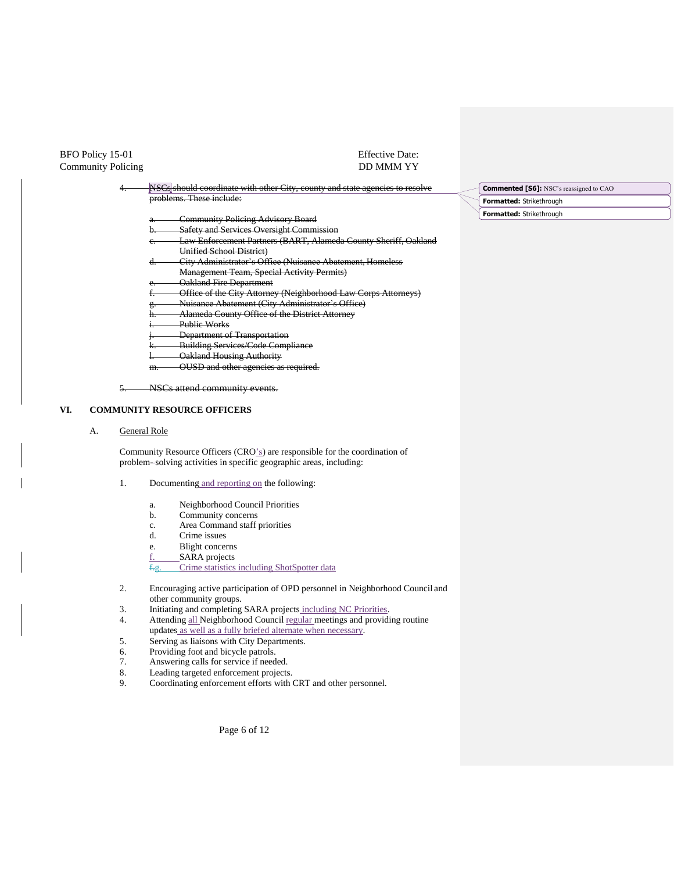## Effective Date: DD MMM YY

| NSCs should coordinate with other City, county and state agencies to resolve | <b>Commented [S6]:</b> NSC's reassigned to CAO |
|------------------------------------------------------------------------------|------------------------------------------------|
| problems. These include:                                                     | Formatted: Strikethrough                       |
| <b>Community Policing Advisory Board</b><br>a.                               | Formatted: Strikethrough                       |
| <b>Safety and Services Oversight Commission</b>                              |                                                |
| Law Enforcement Partners (BART, Alameda County Sheriff, Oakland              |                                                |
| Unified School District)                                                     |                                                |
| City Administrator's Office (Nuisance Abatement, Homeless<br>u.              |                                                |
| <b>Management Team, Special Activity Permits)</b>                            |                                                |
| <b>Oakland Fire Department</b>                                               |                                                |
| Office of the City Attorney (Neighborhood Law Corps Attorneys)               |                                                |
| Nuisance Abatement (City Administrator's Office)                             |                                                |
| Alameda County Office of the District Attorney<br>п.                         |                                                |
| Public Works                                                                 |                                                |
| Department of Transportation                                                 |                                                |
| <b>Building Services/Code Compliance</b>                                     |                                                |
| Oakland Housing Authority                                                    |                                                |
| OUSD and other agencies as required.<br>m.                                   |                                                |

### **VI. COMMUNITY RESOURCE OFFICERS**

#### A. General Role

Community Resource Officers (CRO's) are responsible for the coordination of problem- solving activities in specific geographic areas, including:

### 1. Documenting and reporting on the following:

- a. Neighborhood Council Priorities
- b. Community concerns
- c. Area Command staff priorities
- d. Crime issues
- e. Blight concerns
- f. SARA projects

f.g. Crime statistics including ShotSpotter data

- 2. Encouraging active participation of OPD personnel in Neighborhood Council and other community groups.
- 3. Initiating and completing SARA projects including NC Priorities.
- 4. Attending all Neighborhood Council regular meetings and providing routine updates as well as a fully briefed alternate when necessary.
- 5. Serving as liaisons with City Departments.
- 6. Providing foot and bicycle patrols.
- 7. Answering calls for service if needed.<br>8. Leading targeted enforcement projects
- 8. Leading targeted enforcement projects.<br>9. Coordinating enforcement efforts with 0
- 9. Coordinating enforcement efforts with CRT and other personnel.

Page 6 of 12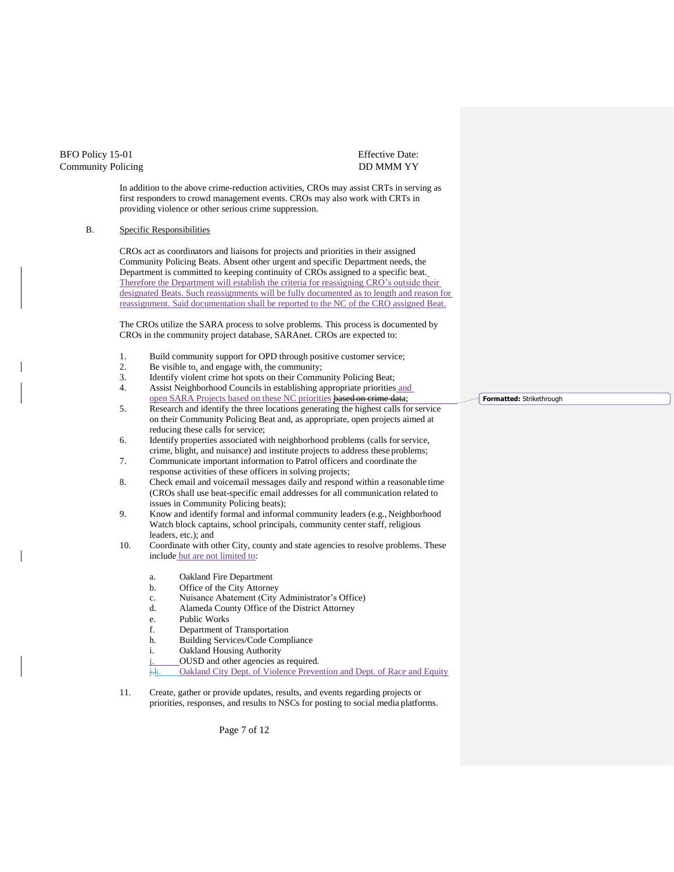### Effective Date: DD MMM YY

In addition to the above crime-reduction activities, CROs may assist CRTs in serving as first responders to crowd management events. CROs may also work with CRTs in providing violence or other serious crime suppression.

#### B. Specific Responsibilities

CROs act as coordinators and liaisons for projects and priorities in their assigned Community Policing Beats. Absent other urgent and specific Department needs, the Department is committed to keeping continuity of CROs assigned to a specific beat. Therefore the Department will establish the criteria for reassigning CRO's outside their designated Beats. Such reassignments will be fully documented as to length and reason for reassignment. Said documentation shall be reported to the NC of the CRO assigned Beat.

The CROs utilize the SARA process to solve problems. This process is documented by CROs in the community project database, SARAnet. CROs are expected to:

- 1. Build community support for OPD through positive customer service;
- 2. Be visible to<sub>s</sub> and engage with<sub>s</sub> the community;<br>3. Identify violent crime hot spots on their Commun
- 3. Identify violent crime hot spots on their Community Policing Beat;<br>4. Assist Neighborhood Councils in establishing appropriate priorities
- 4. Assist Neighborhood Councils in establishing appropriate priorities and open SARA Projects based on these NC priorities based on crime data;
- 5. Research and identify the three locations generating the highest calls forservice on their Community Policing Beat and, as appropriate, open projects aimed at reducing these calls for service;
- 6. Identify properties associated with neighborhood problems (calls forservice, crime, blight, and nuisance) and institute projects to address these problems;
- 7. Communicate important information to Patrol officers and coordinate the response activities of these officers in solving projects;
- 8. Check email and voicemail messages daily and respond within a reasonable time (CROs shall use beat-specific email addresses for all communication related to issues in Community Policing beats);
- 9. Know and identify formal and informal community leaders (e.g., Neighborhood Watch block captains, school principals, community center staff, religious leaders, etc.); and
- 10. Coordinate with other City, county and state agencies to resolve problems. These include but are not limited to:
	- a. Oakland Fire Department
	- b. Office of the City Attorney
	- c. Nuisance Abatement (City Administrator's Office)
	- d. Alameda County Office of the District Attorney
	- e. Public Works
	- f. Department of Transportation
	- h. Building Services/Code Compliance
	- i. Oakland Housing Authority
	- j. OUSD and other agencies as required.
	- $\overline{f_{\mathsf{t}}$ . Oakland City Dept. of Violence Prevention and Dept. of Race and Equity
- 11. Create, gather or provide updates, results, and events regarding projects or priorities, responses, and results to NSCs for posting to social media platforms.

**Formatted:** Strikethrough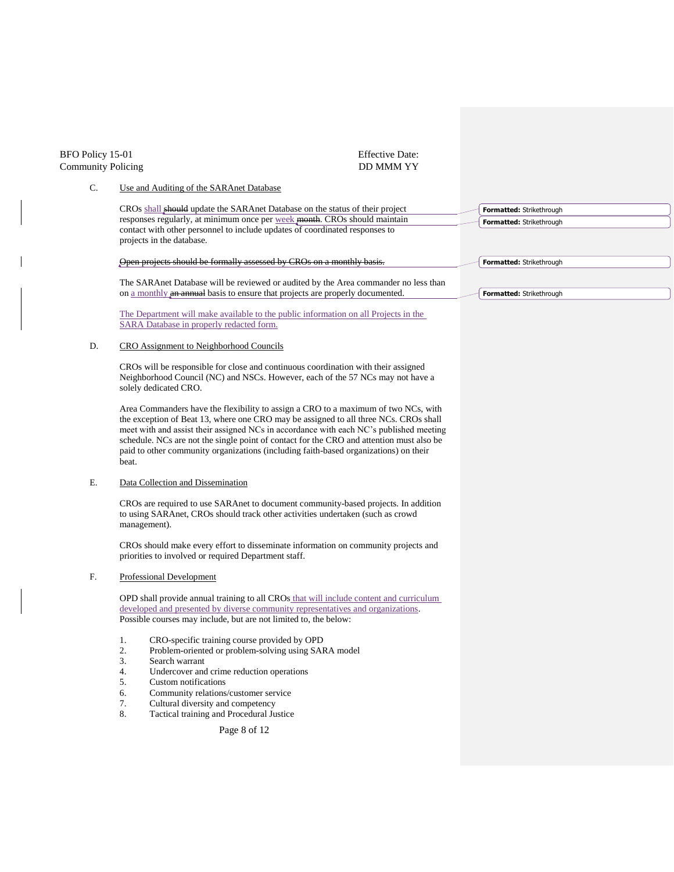| BFO Policy 15-01<br><b>Community Policing</b> | <b>Effective Date:</b><br><b>DD MMM YY</b>                                                                                                                                                                                                                                                                                                                                                                                                                        |                                                      |
|-----------------------------------------------|-------------------------------------------------------------------------------------------------------------------------------------------------------------------------------------------------------------------------------------------------------------------------------------------------------------------------------------------------------------------------------------------------------------------------------------------------------------------|------------------------------------------------------|
| C.                                            | Use and Auditing of the SARAnet Database                                                                                                                                                                                                                                                                                                                                                                                                                          |                                                      |
|                                               | CROs shall should update the SARAnet Database on the status of their project<br>responses regularly, at minimum once per week month. CROs should maintain<br>contact with other personnel to include updates of coordinated responses to<br>projects in the database.                                                                                                                                                                                             | Formatted: Strikethrough<br>Formatted: Strikethrough |
|                                               | Open projects should be formally assessed by CROs on a monthly basis.                                                                                                                                                                                                                                                                                                                                                                                             | Formatted: Strikethrough                             |
|                                               | The SARAnet Database will be reviewed or audited by the Area commander no less than<br>on a monthly an annual basis to ensure that projects are properly documented.                                                                                                                                                                                                                                                                                              | Formatted: Strikethrough                             |
|                                               | The Department will make available to the public information on all Projects in the<br>SARA Database in properly redacted form.                                                                                                                                                                                                                                                                                                                                   |                                                      |
| D.                                            | CRO Assignment to Neighborhood Councils                                                                                                                                                                                                                                                                                                                                                                                                                           |                                                      |
|                                               | CROs will be responsible for close and continuous coordination with their assigned<br>Neighborhood Council (NC) and NSCs. However, each of the 57 NCs may not have a<br>solely dedicated CRO.                                                                                                                                                                                                                                                                     |                                                      |
|                                               | Area Commanders have the flexibility to assign a CRO to a maximum of two NCs, with<br>the exception of Beat 13, where one CRO may be assigned to all three NCs. CROs shall<br>meet with and assist their assigned NCs in accordance with each NC's published meeting<br>schedule. NCs are not the single point of contact for the CRO and attention must also be<br>paid to other community organizations (including faith-based organizations) on their<br>beat. |                                                      |
| Ε.                                            | Data Collection and Dissemination                                                                                                                                                                                                                                                                                                                                                                                                                                 |                                                      |
|                                               | CROs are required to use SARAnet to document community-based projects. In addition<br>to using SARAnet, CROs should track other activities undertaken (such as crowd<br>management).                                                                                                                                                                                                                                                                              |                                                      |
|                                               | CROs should make every effort to disseminate information on community projects and<br>priorities to involved or required Department staff.                                                                                                                                                                                                                                                                                                                        |                                                      |
| F.                                            | Professional Development                                                                                                                                                                                                                                                                                                                                                                                                                                          |                                                      |
|                                               | OPD shall provide annual training to all CROs that will include content and curriculum<br>developed and presented by diverse community representatives and organizations.<br>Possible courses may include, but are not limited to, the below:                                                                                                                                                                                                                     |                                                      |
|                                               | CRO-specific training course provided by OPD<br>2.<br>Problem-oriented or problem-solving using SARA model<br>3.<br>Search warrant<br>Undercover and crime reduction operations<br>4.<br>5.<br>Custom notifications<br>6.<br>Community relations/customer service<br>7.<br>Cultural diversity and competency<br>8.<br>Tactical training and Procedural Justice                                                                                                    |                                                      |
|                                               | Page 8 of 12                                                                                                                                                                                                                                                                                                                                                                                                                                                      |                                                      |
|                                               |                                                                                                                                                                                                                                                                                                                                                                                                                                                                   |                                                      |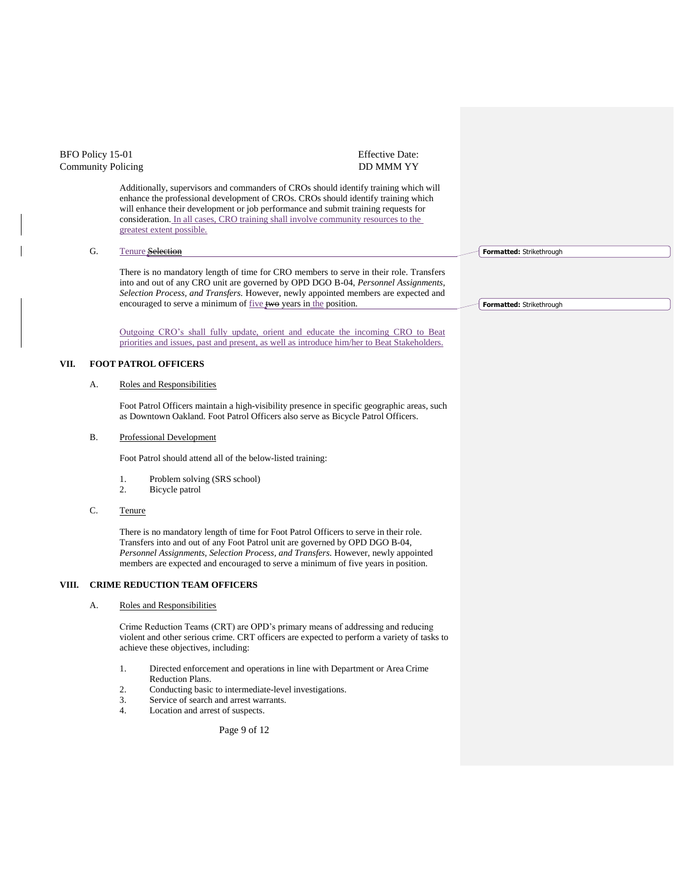| BFO Policy 15-01<br><b>Community Policing</b> |           |                                                                                                                                                                                                                                                                                                                                                                                    | <b>Effective Date:</b><br><b>DD MMM YY</b> |                          |
|-----------------------------------------------|-----------|------------------------------------------------------------------------------------------------------------------------------------------------------------------------------------------------------------------------------------------------------------------------------------------------------------------------------------------------------------------------------------|--------------------------------------------|--------------------------|
|                                               |           | Additionally, supervisors and commanders of CROs should identify training which will<br>enhance the professional development of CROs. CROs should identify training which<br>will enhance their development or job performance and submit training requests for<br>consideration. In all cases, CRO training shall involve community resources to the<br>greatest extent possible. |                                            |                          |
|                                               | G.        | <b>Tenure</b> Selection                                                                                                                                                                                                                                                                                                                                                            |                                            | Formatted: Strikethrough |
|                                               |           | There is no mandatory length of time for CRO members to serve in their role. Transfers<br>into and out of any CRO unit are governed by OPD DGO B-04, <i>Personnel Assignments</i> ,<br>Selection Process, and Transfers. However, newly appointed members are expected and<br>encouraged to serve a minimum of <u>five</u> two years in the position.                              |                                            | Formatted: Strikethrough |
|                                               |           | Outgoing CRO's shall fully update, orient and educate the incoming CRO to Beat<br>priorities and issues, past and present, as well as introduce him/her to Beat Stakeholders.                                                                                                                                                                                                      |                                            |                          |
| VII.                                          |           | <b>FOOT PATROL OFFICERS</b>                                                                                                                                                                                                                                                                                                                                                        |                                            |                          |
|                                               | А.        | Roles and Responsibilities                                                                                                                                                                                                                                                                                                                                                         |                                            |                          |
|                                               |           | Foot Patrol Officers maintain a high-visibility presence in specific geographic areas, such<br>as Downtown Oakland. Foot Patrol Officers also serve as Bicycle Patrol Officers.                                                                                                                                                                                                    |                                            |                          |
|                                               | <b>B.</b> | Professional Development                                                                                                                                                                                                                                                                                                                                                           |                                            |                          |
|                                               |           | Foot Patrol should attend all of the below-listed training:                                                                                                                                                                                                                                                                                                                        |                                            |                          |
|                                               |           | 1.<br>Problem solving (SRS school)<br>2.<br>Bicycle patrol                                                                                                                                                                                                                                                                                                                         |                                            |                          |
|                                               | C.        | Tenure                                                                                                                                                                                                                                                                                                                                                                             |                                            |                          |
|                                               |           | There is no mandatory length of time for Foot Patrol Officers to serve in their role.<br>Transfers into and out of any Foot Patrol unit are governed by OPD DGO B-04,<br>Personnel Assignments, Selection Process, and Transfers. However, newly appointed<br>members are expected and encouraged to serve a minimum of five years in position.                                    |                                            |                          |
| VIII.                                         |           | <b>CRIME REDUCTION TEAM OFFICERS</b>                                                                                                                                                                                                                                                                                                                                               |                                            |                          |
|                                               | А.        | Roles and Responsibilities                                                                                                                                                                                                                                                                                                                                                         |                                            |                          |
|                                               |           | Crime Reduction Teams (CRT) are OPD's primary means of addressing and reducing<br>violent and other serious crime. CRT officers are expected to perform a variety of tasks to<br>achieve these objectives, including:                                                                                                                                                              |                                            |                          |
|                                               |           | 1.<br>Directed enforcement and operations in line with Department or Area Crime<br>Reduction Plans.<br>2.<br>Conducting basic to intermediate-level investigations.<br>3.<br>Service of search and arrest warrants.<br>4.<br>Location and arrest of suspects.                                                                                                                      |                                            |                          |

Page 9 of 12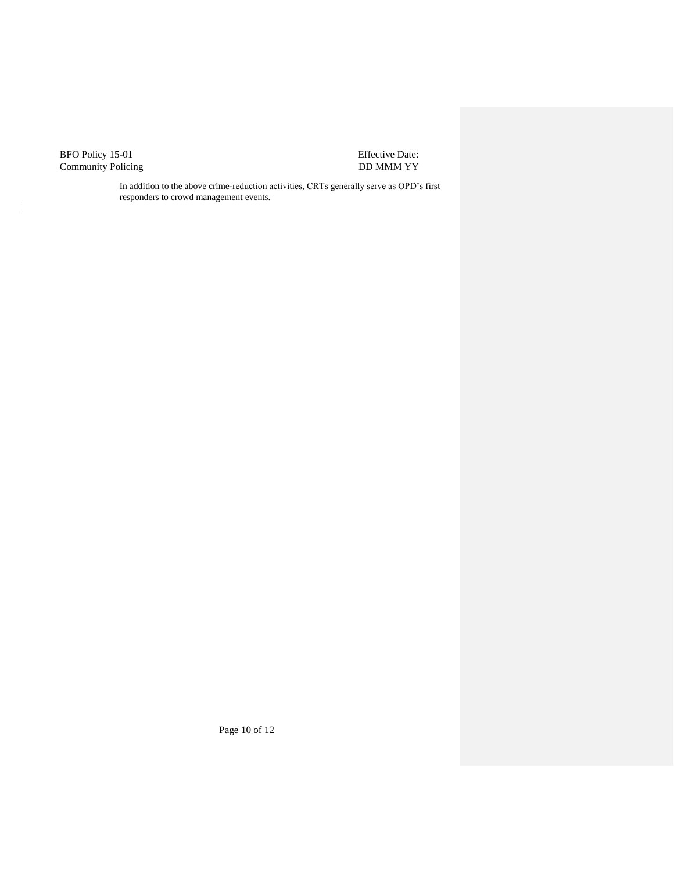$\begin{array}{c} \hline \end{array}$ 

Effective Date: DD MMM YY

In addition to the above crime-reduction activities, CRTs generally serve as OPD's first responders to crowd management events.

Page 10 of 12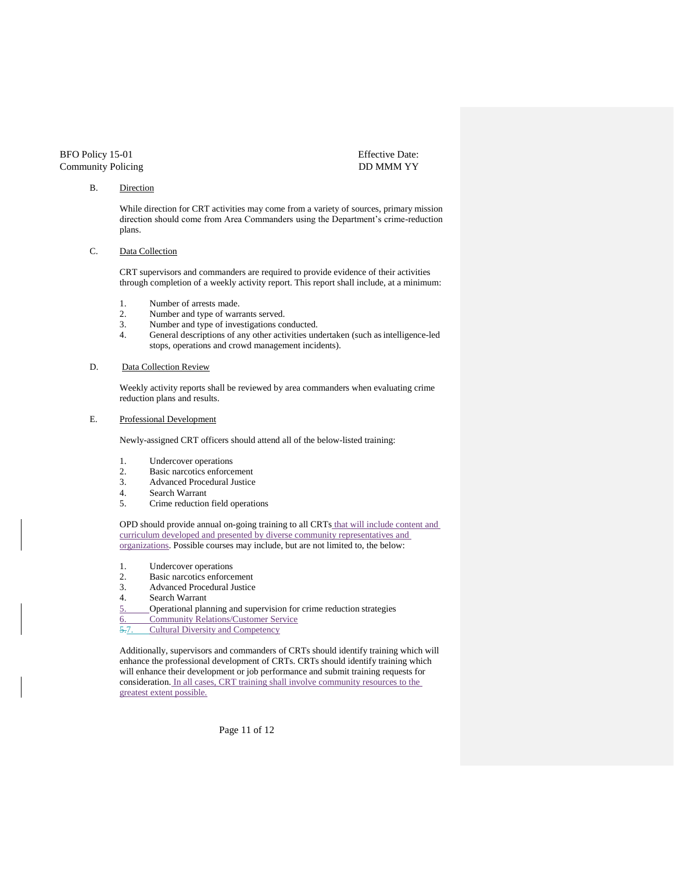Effective Date: DD MMM YY

#### B. Direction

While direction for CRT activities may come from a variety of sources, primary mission direction should come from Area Commanders using the Department's crime-reduction plans.

#### C. Data Collection

CRT supervisors and commanders are required to provide evidence of their activities through completion of a weekly activity report. This report shall include, at a minimum:

- 
- 1. Number of arrests made.<br>2. Number and type of warn Number and type of warrants served.
- 3. Number and type of investigations conducted.<br>4. General descriptions of any other activities un
- General descriptions of any other activities undertaken (such as intelligence-led stops, operations and crowd management incidents).

#### D. Data Collection Review

Weekly activity reports shall be reviewed by area commanders when evaluating crime reduction plans and results.

### E. Professional Development

Newly-assigned CRT officers should attend all of the below-listed training:

- 1. Undercover operations<br>2. Basic narcotics enforce
- Basic narcotics enforcement
- 3. Advanced Procedural Justice
- 4. Search Warrant
- 5. Crime reduction field operations

OPD should provide annual on-going training to all CRTs that will include content and curriculum developed and presented by diverse community representatives and organizations. Possible courses may include, but are not limited to, the below:

- 1. Undercover operations
- 2. Basic narcotics enforcement<br>3. Advanced Procedural Justice
- 3. Advanced Procedural Justice
- 4. Search Warrant
- 5. Operational planning and supervision for crime reduction strategies
- 6. Community Relations/Customer Service
- 5.7. Cultural Diversity and Competency

Additionally, supervisors and commanders of CRTs should identify training which will enhance the professional development of CRTs. CRTs should identify training which will enhance their development or job performance and submit training requests for consideration. In all cases, CRT training shall involve community resources to the greatest extent possible.

Page 11 of 12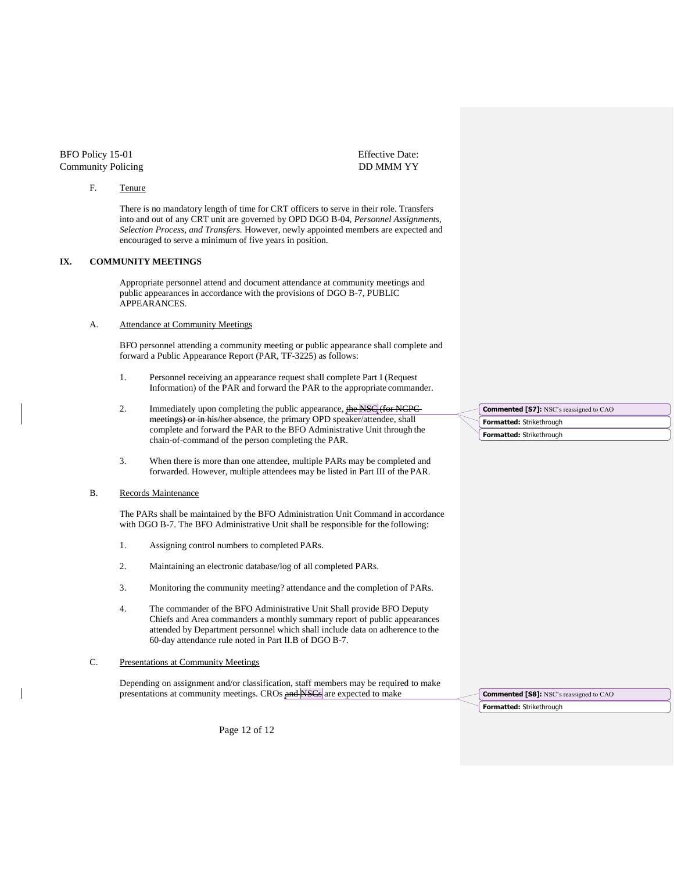#### F. Tenure

Effective Date: DD MMM YY

There is no mandatory length of time for CRT officers to serve in their role. Transfers into and out of any CRT unit are governed by OPD DGO B-04, *Personnel Assignments, Selection Process, and Transfers.* However, newly appointed members are expected and encouraged to serve a minimum of five years in position.

### **IX. COMMUNITY MEETINGS**

Appropriate personnel attend and document attendance at community meetings and public appearances in accordance with the provisions of DGO B-7, PUBLIC APPEARANCES.

#### A. Attendance at Community Meetings

BFO personnel attending a community meeting or public appearance shall complete and forward a Public Appearance Report (PAR, TF-3225) as follows:

- 1. Personnel receiving an appearance request shall complete Part I (Request Information) of the PAR and forward the PAR to the appropriate commander.
- 2. Immediately upon completing the public appearance, the NSC (for NCPC meetings) or in his/her absence, the primary OPD speaker/attendee, shall complete and forward the PAR to the BFO Administrative Unit through the chain-of-command of the person completing the PAR.
- 3. When there is more than one attendee, multiple PARs may be completed and forwarded. However, multiple attendees may be listed in Part III of the PAR.

#### B. Records Maintenance

The PARs shall be maintained by the BFO Administration Unit Command in accordance with DGO B-7. The BFO Administrative Unit shall be responsible for the following:

- 1. Assigning control numbers to completed PARs.
- 2. Maintaining an electronic database/log of all completed PARs.
- 3. Monitoring the community meeting? attendance and the completion of PARs.
- 4. The commander of the BFO Administrative Unit Shall provide BFO Deputy Chiefs and Area commanders a monthly summary report of public appearances attended by Department personnel which shall include data on adherence to the 60-day attendance rule noted in Part II.B of DGO B-7.
- C. Presentations at Community Meetings

Depending on assignment and/or classification, staff members may be required to make presentations at community meetings. CROs and NSCs are expected to make

**Formatted:** Strikethrough **Commented [S8]:** NSC's reassigned to CAO

**Formatted:** Strikethrough

**Formatted:** Strikethrough

**Commented [S7]:** NSC's reassigned to CAO

Page 12 of 12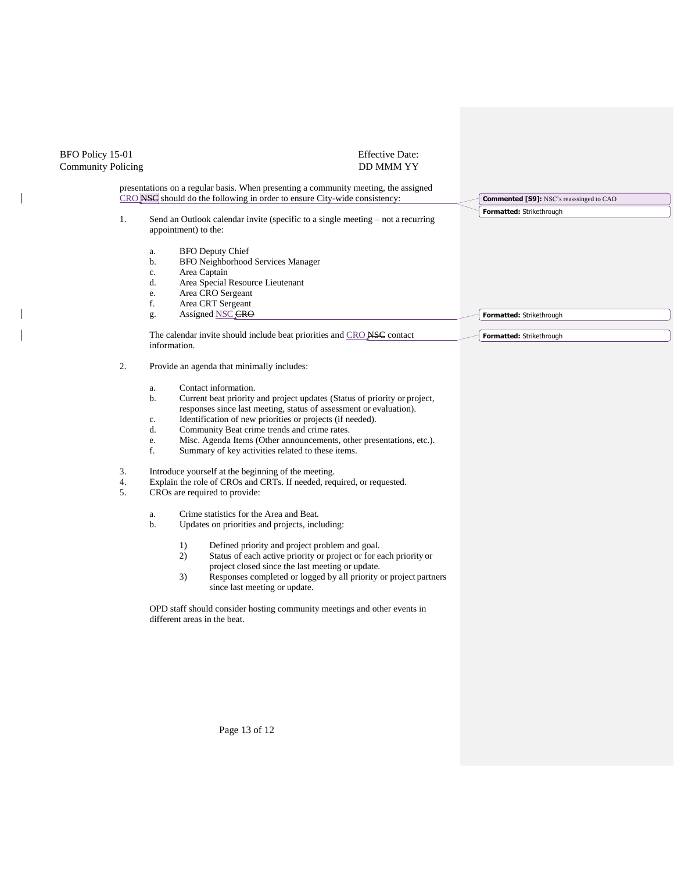| BFO Policy 15-01<br><b>Community Policing</b> | <b>Effective Date:</b><br>DD MMM YY                                                                                                                                                                                                                                                                                                                                                                                                                                                                                                                                                                                                                                  |                                                 |
|-----------------------------------------------|----------------------------------------------------------------------------------------------------------------------------------------------------------------------------------------------------------------------------------------------------------------------------------------------------------------------------------------------------------------------------------------------------------------------------------------------------------------------------------------------------------------------------------------------------------------------------------------------------------------------------------------------------------------------|-------------------------------------------------|
|                                               | presentations on a regular basis. When presenting a community meeting, the assigned<br>CRO NSC should do the following in order to ensure City-wide consistency:                                                                                                                                                                                                                                                                                                                                                                                                                                                                                                     | <b>Commented [S9]: NSC's reasssinged to CAO</b> |
| 1.                                            | Send an Outlook calendar invite (specific to a single meeting $-$ not a recurring<br>appointment) to the:                                                                                                                                                                                                                                                                                                                                                                                                                                                                                                                                                            | Formatted: Strikethrough                        |
|                                               | <b>BFO</b> Deputy Chief<br>a.<br>BFO Neighborhood Services Manager<br>b.<br>Area Captain<br>c.<br>Area Special Resource Lieutenant<br>d.<br>Area CRO Sergeant<br>e.<br>f.<br>Area CRT Sergeant<br>Assigned NSC CRO<br>g.                                                                                                                                                                                                                                                                                                                                                                                                                                             | Formatted: Strikethrough                        |
|                                               | The calendar invite should include beat priorities and CRO NSC contact<br>information.                                                                                                                                                                                                                                                                                                                                                                                                                                                                                                                                                                               | Formatted: Strikethrough                        |
| 2.<br>3.<br>4.<br>5.                          | Provide an agenda that minimally includes:<br>Contact information.<br>a.<br>Current beat priority and project updates (Status of priority or project,<br>b.<br>responses since last meeting, status of assessment or evaluation).<br>Identification of new priorities or projects (if needed).<br>c.<br>d.<br>Community Beat crime trends and crime rates.<br>Misc. Agenda Items (Other announcements, other presentations, etc.).<br>e.<br>f.<br>Summary of key activities related to these items.<br>Introduce yourself at the beginning of the meeting.<br>Explain the role of CROs and CRTs. If needed, required, or requested.<br>CROs are required to provide: |                                                 |
|                                               | Crime statistics for the Area and Beat.<br>a.<br>b.<br>Updates on priorities and projects, including:<br>Defined priority and project problem and goal.<br>1)<br>2)<br>Status of each active priority or project or for each priority or<br>project closed since the last meeting or update.<br>3)<br>Responses completed or logged by all priority or project partners<br>since last meeting or update.<br>OPD staff should consider hosting community meetings and other events in<br>different areas in the beat.                                                                                                                                                 |                                                 |

Page 13 of 12

 $\begin{array}{c} \hline \end{array}$